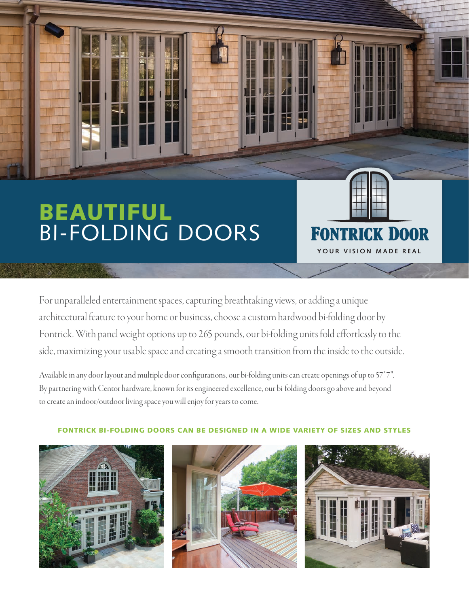## BEAUTIFUL BI-FOLDING DOORS

For unparalleled entertainment spaces, capturing breathtaking views, or adding a unique architectural feature to your home or business, choose a custom hardwood bi-folding door by Fontrick. With panel weight options up to 265 pounds, our bi-folding units fold effortlessly to the side, maximizing your usable space and creating a smooth transition from the inside to the outside.

Available in any door layout and multiple door configurations, our bi-folding units can create openings of up to 57'7". By partnering with Centor hardware, known for its engineered excellence, our bi-folding doors go above and beyond to create an indoor/outdoor living space you will enjoy for years to come.







**YOUR VISION MADE REAL**

**FONTRICK DOOR** 

## FONTRICK BI-FOLDING DOORS CAN BE DESIGNED IN A WIDE VARIETY OF SIZES AND STYLES